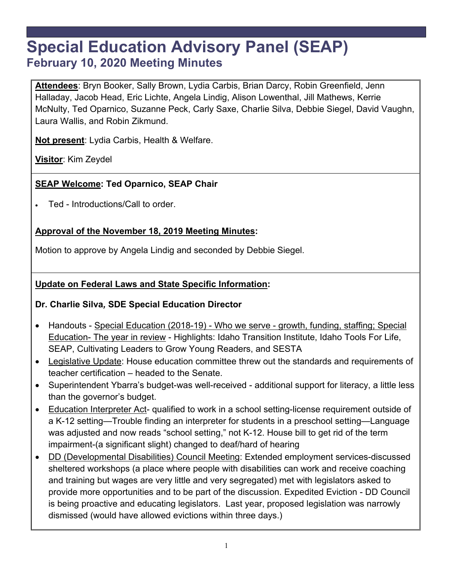# **Special Education Advisory Panel (SEAP) February 10, 2020 Meeting Minutes**

**Attendees**: Bryn Booker, Sally Brown, Lydia Carbis, Brian Darcy, Robin Greenfield, Jenn Halladay, Jacob Head, Eric Lichte, Angela Lindig, Alison Lowenthal, Jill Mathews, Kerrie McNulty, Ted Oparnico, Suzanne Peck, Carly Saxe, Charlie Silva, Debbie Siegel, David Vaughn, Laura Wallis, and Robin Zikmund.

**Not present**: Lydia Carbis, Health & Welfare.

**Visitor**: Kim Zeydel

#### **SEAP Welcome: Ted Oparnico, SEAP Chair**

Ted - Introductions/Call to order.

## **Approval of the November 18, 2019 Meeting Minutes:**

Motion to approve by Angela Lindig and seconded by Debbie Siegel.

#### **Update on Federal Laws and State Specific Information:**

#### **Dr. Charlie Silva***,* **SDE Special Education Director**

- Handouts Special Education (2018-19) Who we serve growth, funding, staffing; Special Education- The year in review - Highlights: Idaho Transition Institute, Idaho Tools For Life, SEAP, Cultivating Leaders to Grow Young Readers, and SESTA
- Legislative Update: House education committee threw out the standards and requirements of teacher certification – headed to the Senate.
- Superintendent Ybarra's budget-was well-received additional support for literacy, a little less than the governor's budget.
- Education Interpreter Act- qualified to work in a school setting-license requirement outside of a K-12 setting—Trouble finding an interpreter for students in a preschool setting—Language was adjusted and now reads "school setting," not K-12. House bill to get rid of the term impairment-(a significant slight) changed to deaf/hard of hearing
- DD (Developmental Disabilities) Council Meeting: Extended employment services-discussed sheltered workshops (a place where people with disabilities can work and receive coaching and training but wages are very little and very segregated) met with legislators asked to provide more opportunities and to be part of the discussion. Expedited Eviction - DD Council is being proactive and educating legislators. Last year, proposed legislation was narrowly dismissed (would have allowed evictions within three days.)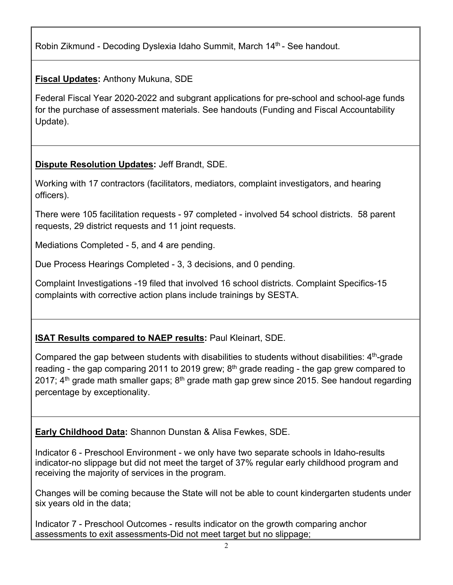Robin Zikmund - Decoding Dyslexia Idaho Summit, March 14<sup>th</sup> - See handout.

**Fiscal Updates:** Anthony Mukuna, SDE

Federal Fiscal Year 2020-2022 and subgrant applications for pre-school and school-age funds for the purchase of assessment materials. See handouts (Funding and Fiscal Accountability Update).

**Dispute Resolution Updates:** Jeff Brandt, SDE.

Working with 17 contractors (facilitators, mediators, complaint investigators, and hearing officers).

There were 105 facilitation requests - 97 completed - involved 54 school districts. 58 parent requests, 29 district requests and 11 joint requests.

Mediations Completed - 5, and 4 are pending.

Due Process Hearings Completed - 3, 3 decisions, and 0 pending.

Complaint Investigations -19 filed that involved 16 school districts. Complaint Specifics-15 complaints with corrective action plans include trainings by SESTA.

# **ISAT Results compared to NAEP results:** Paul Kleinart, SDE.

Compared the gap between students with disabilities to students without disabilities:  $4<sup>th</sup>$ -grade reading - the gap comparing 2011 to 2019 grew;  $8<sup>th</sup>$  grade reading - the gap grew compared to 2017;  $4<sup>th</sup>$  grade math smaller gaps;  $8<sup>th</sup>$  grade math gap grew since 2015. See handout regarding percentage by exceptionality.

**Early Childhood Data:** Shannon Dunstan & Alisa Fewkes, SDE.

Indicator 6 - Preschool Environment - we only have two separate schools in Idaho-results indicator-no slippage but did not meet the target of 37% regular early childhood program and receiving the majority of services in the program.

Changes will be coming because the State will not be able to count kindergarten students under six years old in the data;

Indicator 7 - Preschool Outcomes - results indicator on the growth comparing anchor assessments to exit assessments-Did not meet target but no slippage;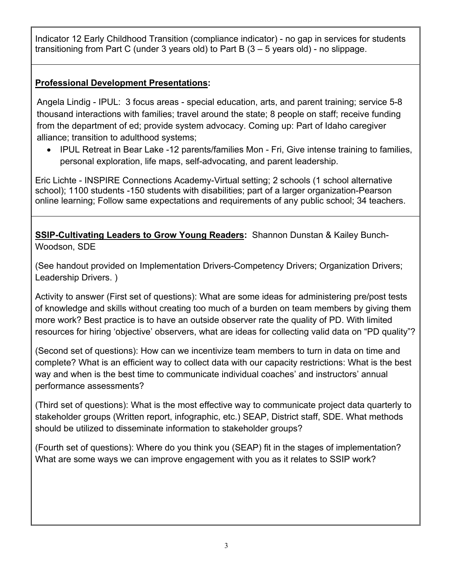Indicator 12 Early Childhood Transition (compliance indicator) - no gap in services for students transitioning from Part C (under 3 years old) to Part B (3 – 5 years old) - no slippage.

#### **Professional Development Presentations:**

Angela Lindig - IPUL: 3 focus areas - special education, arts, and parent training; service 5-8 thousand interactions with families; travel around the state; 8 people on staff; receive funding from the department of ed; provide system advocacy. Coming up: Part of Idaho caregiver alliance; transition to adulthood systems;

• IPUL Retreat in Bear Lake -12 parents/families Mon - Fri, Give intense training to families, personal exploration, life maps, self-advocating, and parent leadership.

Eric Lichte - INSPIRE Connections Academy-Virtual setting; 2 schools (1 school alternative school); 1100 students -150 students with disabilities; part of a larger organization-Pearson online learning; Follow same expectations and requirements of any public school; 34 teachers.

**SSIP-Cultivating Leaders to Grow Young Readers:** Shannon Dunstan & Kailey Bunch-Woodson, SDE

(See handout provided on Implementation Drivers-Competency Drivers; Organization Drivers; Leadership Drivers. )

Activity to answer (First set of questions): What are some ideas for administering pre/post tests of knowledge and skills without creating too much of a burden on team members by giving them more work? Best practice is to have an outside observer rate the quality of PD. With limited resources for hiring 'objective' observers, what are ideas for collecting valid data on "PD quality"?

(Second set of questions): How can we incentivize team members to turn in data on time and complete? What is an efficient way to collect data with our capacity restrictions: What is the best way and when is the best time to communicate individual coaches' and instructors' annual performance assessments?

(Third set of questions): What is the most effective way to communicate project data quarterly to stakeholder groups (Written report, infographic, etc.) SEAP, District staff, SDE. What methods should be utilized to disseminate information to stakeholder groups?

(Fourth set of questions): Where do you think you (SEAP) fit in the stages of implementation? What are some ways we can improve engagement with you as it relates to SSIP work?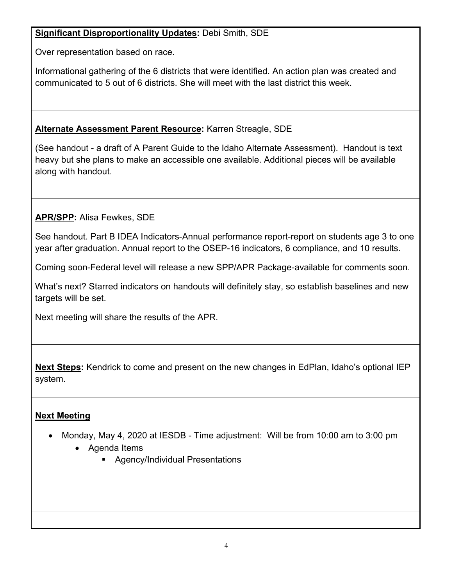#### **Significant Disproportionality Updates:** Debi Smith, SDE

Over representation based on race.

Informational gathering of the 6 districts that were identified. An action plan was created and communicated to 5 out of 6 districts. She will meet with the last district this week.

## **Alternate Assessment Parent Resource:** Karren Streagle, SDE

(See handout - a draft of A Parent Guide to the Idaho Alternate Assessment). Handout is text heavy but she plans to make an accessible one available. Additional pieces will be available along with handout.

**APR/SPP:** Alisa Fewkes, SDE

See handout. Part B IDEA Indicators-Annual performance report-report on students age 3 to one year after graduation. Annual report to the OSEP-16 indicators, 6 compliance, and 10 results.

Coming soon-Federal level will release a new SPP/APR Package-available for comments soon.

What's next? Starred indicators on handouts will definitely stay, so establish baselines and new targets will be set.

Next meeting will share the results of the APR.

**Next Steps:** Kendrick to come and present on the new changes in EdPlan, Idaho's optional IEP system.

# **Next Meeting**

- Monday, May 4, 2020 at IESDB Time adjustment: Will be from 10:00 am to 3:00 pm
	- Agenda Items
		- **Agency/Individual Presentations**